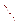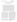# energy&fuels

## Biodiesel Production from Municipal Sewage Sludges

David M. Kargbo\*

U.S. EPA Region III, Office of Innovation, Environmental Assessment & Innovation Division, Philadelphia, Pennsylvania 19103

Received January 29, 2010. Revised Manuscript Received March 30, 2010

Eway Foot Box 1021-211 and Mark Chemical Society 2010, 2011-211 and Mark Chemical Society 2791-2794 : David M. Kargbo\*<br> *Excelse the Chemical Society 2791 and Society 2791 and Society Power Chemical Society Power Chemical* Biodiesel is a fuel comprised of monoalkyl esters traditionally derived from vegetable oils or animal fats. There is currently an unprecedented increase in interest and demand for biodiesel and other fuels derived from renewable biomass. However, pure vegetable or seed oils are expensive and constitute between 70% and 85% of the overall biodiesel production cost. Municipal sewage sludge is gaining traction in the U.S. and around the world as a lipid feedstock for biodiesel production. It is plentiful and consists of significant concentrations of lipids that can make production of biodiesel from sludge profitable. However, there are challenges to be faced by biodiesel production from waste sludge. Determining how best to collect the different fractions and treat them for maximum lipids extraction is a major challenge. To accelerate biodiesel production, cosolvents and high shear mixing have been proposed. Nevertheless, there is very little information on the cost-effective means of increasing lipid solubility. Alkali-catalyzed transesterification is much faster than acid-catalyzed transesterification and is most often used commercially. However, for lipid feedstocks with greater than 1% free fatty acids (FFAs) such as in sludge, acid catalysis followed by base catalysis is recommended because of soap formation with alkali-catalyzed transesterification and high FFA. To boost biodiesel production, it is suggested that wastewater operators utilize microorganisms that are selected for their oil-producing capabilities. This could increase biodiesel production to the 10 billion gallon mark, which is more than three times the nation's current biodiesel production capacity. The presence of pharmaceutical chemicals in sludge poses a great challenge. This requires a careful selection of treatment technologies and microbes that are selective for these pharmaceutical chemicals. Finally, biodiesel production from sludge could be very profitable in the long run. Currently, the estimated cost of production is \$3.11 per gallon of biodiesel. To be competitive, this cost should be reduced to levels that are at or below the current petro diesel costs of \$3.00 per gallon.

### Introduction

Biodiesel holds significant promise as a potential displacement fuel for petroleum-based diesel fuel. The United States (US) and the world are witnessing an unprecedented increase in interest and demand for biodiesel and other fuels derived from renewable biomass. For example, the production of biodiesel in the US has increased from 75 million gallons in 2005 to 250 million gallons in 2006 and 450 million gallons in  $2007<sup>1</sup>$  with an expected total capacity of well over 1 billion gallons in the next few years. Nevertheless, this is still a very infant industry compared to petroleum-based diesel. For example, in 2007, the US burned over 60 billion gallons of petroleum-based diesel compared to 450 million gallons of biodiesel. The increasing demand for biodiesel has led to an increasing need for lipid feedstocks such as soybean, canola, rapeseed, sunflower, palm, and coconut oils. Currently, pure vegetable or seed oils are expensive and constitute between 70% and 85% of the overall biodiesel production cost.<sup>2</sup> As a result, the use of alternative nonedible feedstocks such as Jatropha, animal fats, and waste cooking oil is on the rise.

Municipal sewage sludge is gaining traction in the US and around the world as a lipid feedstock for biodiesel production. First, municipal sewage sludge contains significant concentrations of lipids derived from the direct adsorption of lipids onto the sludge. These energy-containing lipids include triglycerides, diglycerides, monoglycerides, phospholipids, and free fatty acids contained in the oils and fats. In addition, microorganisms used in the wastewater treatment process utilize organic andinorganic compounds in the wastewater as a source of energy, carbon, and nutrients. The cell membrane of these microorganisms is a major component of sewage sludge and is composed primarily of phospholipids.3 It is estimated at 24% to 25% of dry mass of the cell $4.5$  and yields about 7% oil from the dried secondary sludge. Other studies<sup>6</sup> have demonstrated that up to 36.8 wt  $\%$ of the dry sludge is comprised of fatty acids and steroids. With the fatty acids from sludge predominantly in the range of C10 to C18, these are excellent for the production of biodiesel.

Second, sludge is plentiful. In the US alone, approximately 6.2 million dry metric tons of sludge is produced annually by wastewater treatment facilities<sup>7</sup> and is expected to increase in the future due to increasing urbanization and industrialization.

 $^\ast \mathbf{T}$ o whom correspondence should be addressed. E-mail: kargbo.david $@$ epa.gov.

<sup>(1)</sup> National Biodiesel Board. Biodiesel, 800-841-5849. 2007. Available at www.biodiesel.org/pdf\_files/fuelfactsheets/backgrounder.pdf (accessed Apr 2010).

<sup>(2)</sup> Haas, M. J.; Foglia, T. A. Alternate feedstocks and technologies for biodiesel production. In Biodiesel Handbook 2005; Knothe, G., Krahl, J., Gerpen, J. V., Eds.; AOCS Press: Urbana, IL, 2005; pp 42-61.

<sup>(3)</sup> Rittmann, B.; McCarty, P. Environmental Biotechnology: Principles and Applications; McGraw-Hill: New York, 2006.

<sup>(4)</sup> Nelson, D.; Cox, M. Principles of Biochemistry; W.H. Freeman and Company: New York, 2005.

<sup>(5)</sup> Dufreche, S.; Hernandez, R.; French, T.; Sparks, D.; Zappi, M.; Alley, E. *J. Am. Oil Chem. Soc.* 2007, 84, 181-187.

<sup>(6)</sup> Jardé, E.; Mansuy, L.; Faure, P. *Water Res.* **2005**, 39, 1215–1232.<br>(7) *Activated sludge MOP OM-9*, 2nd ed.; Water Environment Federation: Alexandria, Virginia, 2002.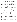### Energy Fuels 2010, 24, <sup>2791</sup>–<sup>2794</sup> : DOI:10.1021/ef1001106

Third, sludge management poses formidable environmental challenges. Land application for agricultural purposes has attracted opposition due to odor and the presence of heavy metals and recently, the potential exposure to emerging pharmaceutical chemicals. Similarly, sludge incineration has resulted in emissions that contain dioxins and heavy metals. Consequently, biodiesel production from sludge as a viable alternative to land disposal will help to solve both energy and environmental problems.

Finally, studies<sup>5</sup> show that integrating lipid extraction processes in 50% of all existing municipal wastewater treatment plants in the US and transesterification of the extracted lipids could produce approximately 1.8 billion gallons of biodiesel, which is roughly 0.5% of the yearly national petroleum diesel demand.

Biodiesel is comprised of fatty acid alkyl esters (FAAEs) produced via base- and/or acid-catalyzed transesterification of lipids using alcohol. Fatty acid methyl ester (FAME) is the term for biodiesel made when methanol is the alcohol used in the transesterification process. Equation 1 is an example of biodiesel production through transesterification of fat or oil in the presence of an acid catalyst producing a mixture of FAMEs and glycerol.



In the above transesterification process, R1, R2, and R3 are long fatty acid chains with only five of these chains common in most vegetable oils and animal fats. The physical properties of the resulting biodiesel (e.g., octane number, cold flow, and oxidative stability) are usually determined by the relative amounts of the fatty esters. In the above transesterification, approximately one volume of oil or fat yields about one volume of biodiesel.

#### Challenges

Biodiesel production from sewage sludge poses huge challenges to overcome if commercial opportunities are to be realized. Some of these challenges are not unique to biodiesel production from waste sludge but to the biodiesel industry as a whole. They include challenges from (i) collecting the sludge, (ii) optimum production of biodiesel, (iii) maintaining product quality, (vi) soap formation and product separation, (v) bioreactor design, (vi) pharmaceutical chemicals in sludge; ,(vii) regulatory concerns, and (viii) economics of biodiesel production.

Collecting Sludge. Primary sludge is a combination of floating grease and solids collected at the bottom of the primary clarifier of a wastewater treatment plant after screening and grit removal. Secondary or activated sludge is composed mainly of microbial cells and suspended solids produced during the aerobic biological treatment of wastewater and collected in the secondary clarifier. Biodiesel production from both primary and secondary sludges is currently undergoing intense research. Challenges do exist in determining how best to collect these fractions and treat them for maximum lipids

extraction. For example, the yield of FAMEs from primary sludge (maximum yield of 14.5 wt  $\%$ ) is significantly affected by the interactive effects of temperature, acid catalyst concentration, and the methanol-to-sludge mass ratio, while the yield of FAMEs from secondary sludge (maximum yield of 2.5 wt %) is significantly affected by the independent effects of the above three factors. Control over these factors can significantly influence the cost of production.

Production Challenges. The optimum production of biodiesel is faced with huge challenges. First, the lipids containing fatty acids are usually extracted and then transesterified. Recently, an in situ transesterification procedure where the fatty acid containing lipids are simultaneously extracted and transesterified has been being practiced. This reduces the reaction time and the amount of solvent and samples required compared to separate lipid extraction and transesterification processes. This is an ongoing area of intense research. Transesterification reaction times can be shortened by increasing the temperature and the addition of enzymes. For example, the addition of  $9-17%$  lipase enzymes significantly decreased the transesterification reaction of tung oil and hence increased the ester conversion of tung oil.<sup>8</sup>

The optimal conditions were reported to be a 2.2:1 molar ratio of methanol to oil, a reaction time of 18 h, a reaction temperature of 43 °C, and a lipase amount of 14%. Second, reaction completeness (>98% complete) and fuel deterioration (acid value) continue to be challenging aspects of biodiesel production from traditional feedstocks and should be no different with sludge feedstock. Using higher temperatures to accelerate the reaction requires pressure vessels because the alcohol (methanol) boils at 148 °F (65 °C). The addition of cosolvents and high shear mixing have also been proposed as ways to accelerate the reaction. Third, the careful selection of catalysts is a key component of successful biodiesel production from lipid feedstocks such as sludge. The catalyst acts to deprotonate the alcohol to make it a stronger nucleophile for reaction with the lipids. Current catalysts are slower, require higher temperature and pressure, require longer reaction times, and require high volumes of alcohol. Considerable catalyst research is also being carried out. However, the research is restricted to solid phase, fixed bed catalysts. The correct choice of a catalyst may reduce glycerin cleanup costs. Finally, to minimize production costs, there is a need to minimize excess alcohol requirements. In addition to incorporating a faster reaction with less energy input, a current industry trend is to use reactors that incorporate separations and internally recycle alcohol. This should be useful also when sludge is the feedstock.

Maintaining Product Quality. Modern diesel engines are very sensitive to fuel quality. Consequently, maintaining biodiesel product quality is essential for the growth of the biodiesel industry. To be classified as diesel, the product must meet ASTM D 6751 specifications for the flash point, closed cup, water and sediment, viscosity, sulfated ash, total sulfur, copper strip corrosion, cetane number, cloud point, carbon residue, acid number, free and total glycerin, phosphorus, and vacuum distillation end point. Primary sludge from wastewater treatment facilities is a source of low-quality fats and grease. Given that the yield of primary (low-quality) sludge is higher than that of secondary (higher-quality) sludge, there is a need to improve lipid solubility in the reaction

<sup>(8)</sup> Xu, G.; Zhang, B.; Liu, S.; Yue, J. Ag. Sci. China 2006, 5 (11), 859– 864.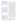#### Energy Fuels 2010, 24, <sup>2791</sup>–<sup>2794</sup> : DOI:10.1021/ef1001106

mixture during transesterification. This is usually solved by the addition of hexane, which significantly increases the biodiesel production cost. A challenge is to find a more costeffective means of increasing lipid solubility.

Soap Formation and Product Separation. Base-catalyzed transesterification is much faster than acid-catalyzed transesterification and is most often used commercially.<sup>9</sup> However, a high concentration of free fatty acids (FFA) in the sewage sludge can result in problems such as soap formation and difficulty in product separation (eq 2).

| Ω<br>HO - C - $(CH_2)_7$ CH=CH(CH <sub>2</sub> ) <sub>7</sub> CH <sub>3</sub>                                             | $^{+}$ | KOH |                     |   |
|---------------------------------------------------------------------------------------------------------------------------|--------|-----|---------------------|---|
| Oleic Acid                                                                                                                |        |     | Potassium Hydroxide |   |
| $K^+$ O - C - $(CH_2)_7$ CH=CH(CH <sub>2</sub> ) <sub>7</sub> CH <sub>3</sub><br>$\rightarrow$<br>Potassium oleate (soap) |        | $+$ | $H_2O$<br>Water     | . |

The soaps formed can gel at ambient temperature, causing the entire product mixture to form a semisolid mass instead of biodiesel. Soaps can also cause problems with glycerol separation and washing. Consequently, biodiesel formation is not suitable for high FFA feeds such as trap grease. For the lipid feedstocks in sewage sludges containing  $>1\%$  FFA, acid catalysis followed by base catalysis is recommended. Here, FFAs are first converted to methyl esters until FFA< 0.5%, when additional methanol is added followed by the addition of a base catalyst to transesterify the triglycerides to biodiesel. The efficient separation of glycerol is important given that the separated glycerol can be used by industry for manufacturing cosmetics and pharmaceutical formulations.

Water can also be a problem as it hydrolyzes fats to form free fatty acids, which then form soap (eq 3).

| $CH2 - O - C - R1$        |       | $CH3 - OH$                          |            |  |
|---------------------------|-------|-------------------------------------|------------|--|
|                           |       |                                     |            |  |
| $CH - O - C - R_2 + H_2O$ |       | $CH_3 - O - C - R_2 + HO - C - R_1$ |            |  |
|                           |       |                                     |            |  |
| $CH_2 - O - C - R_3$      |       | $CH_3 - O - C - R_3$                |            |  |
| Triglyceride              | Water | Diglyceride                         | Fatty acid |  |
|                           |       |                                     |            |  |

Bioreactor Design. The bioreactor for wastewater treatment contains microorganisms that use pollutants as the food source to maintain the metabolism of the microorganisms and to generate new microorganisms. A challenge in boosting biodiesel production from sewage sludge is for wastewater operators to utilize microorganisms that are selected for their oil-producing capabilities. This could increase biodiesel production from sewage sludge to the 10 billion gallon mark, which is more than three times the nation's current biodiesel production capacity.

Pharmaceutical Chemicals in Sludge. A review of the applications of lipids in the pharmaceutical field $10$  shows that several vegetable oils (almond oil, apricot oil, avocado

oil, borage oil, coffee oil, safflower oil, etc.) and fish oil and bird oil have been employed as excipients in cosmetic formulations.

Fatty acids used as lipid regulators are also occurring in wastewaters as emerging contaminants that could end up in sludges.<sup>11</sup> The pharmaceutical industry is concerned about traces of its organic chemicals (that may not be adequately treated) adsorbing on sludge surfaces. There is therefore a need to evaluate the effectiveness of the transesterification process to treat these chemicals and convert them to biodiesel. This may require a careful selection of treatment technologies and microbes that are selective for these chemicals. Conversion of these emerging contaminants to biodiesel will not only help solve an energy problem but will also remove from the environment one of the fastest growing and challenging groups of chemicals.

Regulatory Concerns. Sludge is classified as either Class A or Class B, depending on the type of treatment it has received. Class A sludge has benefited from both pretreatment and treatment at the wastewater facility. While most sludge used for biodiesel production may fall under Class A, its use offsite for biodiesel production may come under scrutiny by regulators and the public. With the added cost of transportation, biodiesel producers may want to establish their operations next to the sludge production facility. Standards for Class B sludge are less stringent, and their use is therefore more regulated. Biodiesel producers may not remove the Class B sludge from its production site.

Economics of Biodiesel Production. Although biodiesel is one of the premier forms of alternative energy, its cost of production has hindered its growth and has made it uncompetitive compared to petro diesel. Analysis by researchers<sup>12</sup> indicates that in biodiesel economics, the feedstock (oil) is about 80% of the production cost.

This makes the availability of cheap and reliable biodiesel feedstock a very important issue in biodiesel production. Currently, the estimated cost of production of biodiesel from dry sludge is \$3.11 per gallon of biodiesel<sup>13,14</sup> compared to \$3.00 per gallon for petro diesel (as of January 2010). The biodiesel price is broken down to \$2.06/gal for centrifuge, drying, and extraction processes and \$1.05/gal for other expenses. To be competitive, this cost may need to be reduced to levels that are at or below petroleum diesel costs. One possible solution is for the US Congress to enact a modified biodiesel tax incentive. The 2005 biodiesel tax incentive by Congress sparked a dramatic growth in the biodiesel industry. The credit amounted to \$1.00 per gallon blended if the lipid is derived from most major oilseeds grown within the US or animal-based lipids. All other lipid feedstocks receive \$0.50 per gallon when blended. This tax incentive should be modified to give equal credit to sludge as biodiesel feedstock. Also, the use of high-frequency ultrasound to significantly reduce production costs of biodiesel has recently been reported.<sup>15</sup>

<sup>(9)</sup> You, Y.; Shie, J.; Chang, C.; Huang, S.; Pai, C.; Yu, Y.; Chang, C. H. *Energy Fuels* 2008, 22, 182–189.

<sup>(10)</sup> Alvarez, A. M. R.; Rodriguez, M. L. G. Grassas Y Aceites 2000, 51, 74–79.

<sup>(11)</sup> Razavi, B.; Song, W.; Cooper, W. J.; Greaves, J.; Jeong, J. J. Phys. Chem. A 2009, 113, 1287.

<sup>(12)</sup> Van Gerpen, J. Business management for biodiesel producers; National Renewable Energy Lab: Golden, CO, 2004.

<sup>(13)</sup> Susanne, R. S. Making the best of wastewater. Available at http:// www.biodieselmagazine.com/article-print.jsp?article\_id=2776 (accessed Apr

<sup>2010</sup>). (14) Mondala, A.; Liang, K.; Toghiani, H.; Hernandez, R.; French, T. Bioresour. Technol. 2009, 100, 1203-1210.

<sup>(15)</sup> Mahamuni, N. N.; Adewuyi, Y. G. Energy Fuels 2009, 23 (5), 2757–2766.